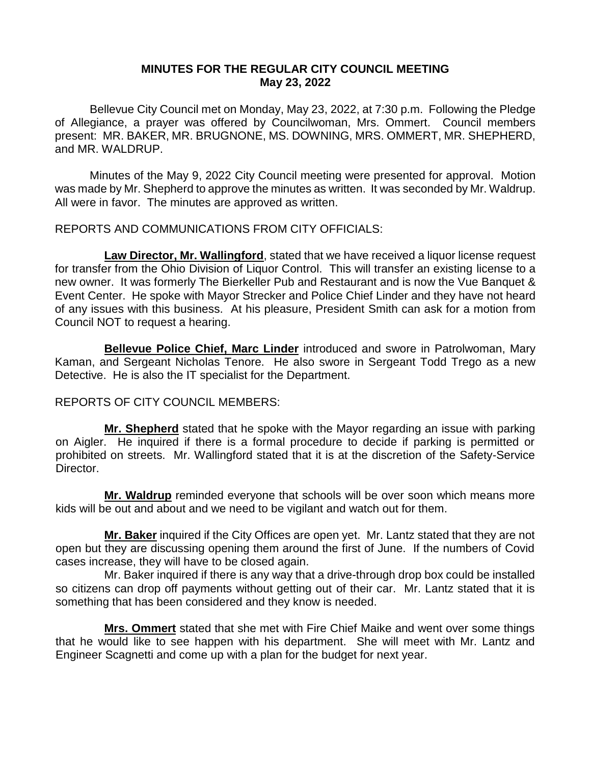# **MINUTES FOR THE REGULAR CITY COUNCIL MEETING May 23, 2022**

Bellevue City Council met on Monday, May 23, 2022, at 7:30 p.m. Following the Pledge of Allegiance, a prayer was offered by Councilwoman, Mrs. Ommert. Council members present: MR. BAKER, MR. BRUGNONE, MS. DOWNING, MRS. OMMERT, MR. SHEPHERD, and MR. WALDRUP.

Minutes of the May 9, 2022 City Council meeting were presented for approval. Motion was made by Mr. Shepherd to approve the minutes as written. It was seconded by Mr. Waldrup. All were in favor. The minutes are approved as written.

REPORTS AND COMMUNICATIONS FROM CITY OFFICIALS:

**Law Director, Mr. Wallingford**, stated that we have received a liquor license request for transfer from the Ohio Division of Liquor Control. This will transfer an existing license to a new owner. It was formerly The Bierkeller Pub and Restaurant and is now the Vue Banquet & Event Center. He spoke with Mayor Strecker and Police Chief Linder and they have not heard of any issues with this business. At his pleasure, President Smith can ask for a motion from Council NOT to request a hearing.

**Bellevue Police Chief, Marc Linder** introduced and swore in Patrolwoman, Mary Kaman, and Sergeant Nicholas Tenore. He also swore in Sergeant Todd Trego as a new Detective. He is also the IT specialist for the Department.

# REPORTS OF CITY COUNCIL MEMBERS:

**Mr. Shepherd** stated that he spoke with the Mayor regarding an issue with parking on Aigler. He inquired if there is a formal procedure to decide if parking is permitted or prohibited on streets. Mr. Wallingford stated that it is at the discretion of the Safety-Service Director.

**Mr. Waldrup** reminded everyone that schools will be over soon which means more kids will be out and about and we need to be vigilant and watch out for them.

**Mr. Baker** inquired if the City Offices are open yet. Mr. Lantz stated that they are not open but they are discussing opening them around the first of June. If the numbers of Covid cases increase, they will have to be closed again.

Mr. Baker inquired if there is any way that a drive-through drop box could be installed so citizens can drop off payments without getting out of their car. Mr. Lantz stated that it is something that has been considered and they know is needed.

**Mrs. Ommert** stated that she met with Fire Chief Maike and went over some things that he would like to see happen with his department. She will meet with Mr. Lantz and Engineer Scagnetti and come up with a plan for the budget for next year.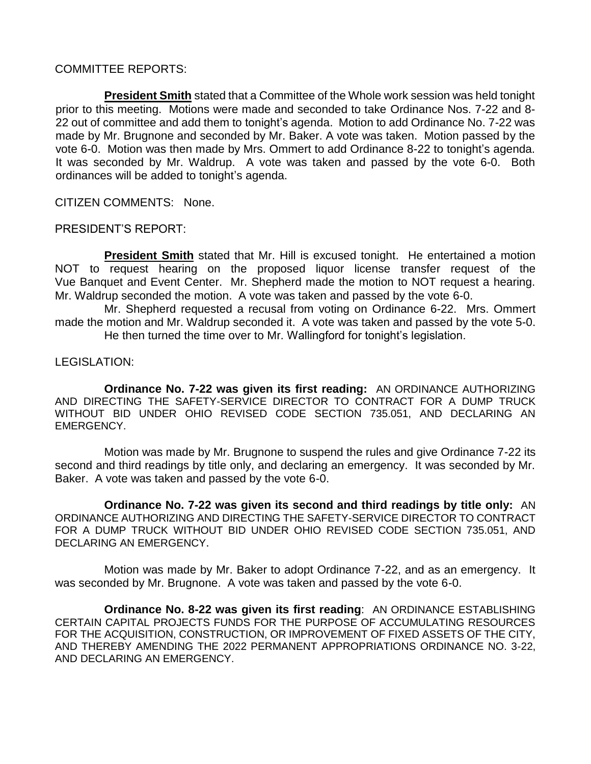### COMMITTEE REPORTS:

**President Smith** stated that a Committee of the Whole work session was held tonight prior to this meeting. Motions were made and seconded to take Ordinance Nos. 7-22 and 8- 22 out of committee and add them to tonight's agenda. Motion to add Ordinance No. 7-22 was made by Mr. Brugnone and seconded by Mr. Baker. A vote was taken. Motion passed by the vote 6-0. Motion was then made by Mrs. Ommert to add Ordinance 8-22 to tonight's agenda. It was seconded by Mr. Waldrup. A vote was taken and passed by the vote 6-0. Both ordinances will be added to tonight's agenda.

CITIZEN COMMENTS: None.

PRESIDENT'S REPORT:

**President Smith** stated that Mr. Hill is excused tonight. He entertained a motion NOT to request hearing on the proposed liquor license transfer request of the Vue Banquet and Event Center. Mr. Shepherd made the motion to NOT request a hearing. Mr. Waldrup seconded the motion. A vote was taken and passed by the vote 6-0.

Mr. Shepherd requested a recusal from voting on Ordinance 6-22. Mrs. Ommert made the motion and Mr. Waldrup seconded it. A vote was taken and passed by the vote 5-0. He then turned the time over to Mr. Wallingford for tonight's legislation.

### LEGISLATION:

**Ordinance No. 7-22 was given its first reading:** AN ORDINANCE AUTHORIZING AND DIRECTING THE SAFETY-SERVICE DIRECTOR TO CONTRACT FOR A DUMP TRUCK WITHOUT BID UNDER OHIO REVISED CODE SECTION 735.051, AND DECLARING AN EMERGENCY.

Motion was made by Mr. Brugnone to suspend the rules and give Ordinance 7-22 its second and third readings by title only, and declaring an emergency. It was seconded by Mr. Baker. A vote was taken and passed by the vote 6-0.

**Ordinance No. 7-22 was given its second and third readings by title only:** AN ORDINANCE AUTHORIZING AND DIRECTING THE SAFETY-SERVICE DIRECTOR TO CONTRACT FOR A DUMP TRUCK WITHOUT BID UNDER OHIO REVISED CODE SECTION 735.051, AND DECLARING AN EMERGENCY.

Motion was made by Mr. Baker to adopt Ordinance 7-22, and as an emergency. It was seconded by Mr. Brugnone. A vote was taken and passed by the vote 6-0.

**Ordinance No. 8-22 was given its first reading**: AN ORDINANCE ESTABLISHING CERTAIN CAPITAL PROJECTS FUNDS FOR THE PURPOSE OF ACCUMULATING RESOURCES FOR THE ACQUISITION, CONSTRUCTION, OR IMPROVEMENT OF FIXED ASSETS OF THE CITY, AND THEREBY AMENDING THE 2022 PERMANENT APPROPRIATIONS ORDINANCE NO. 3-22, AND DECLARING AN EMERGENCY.